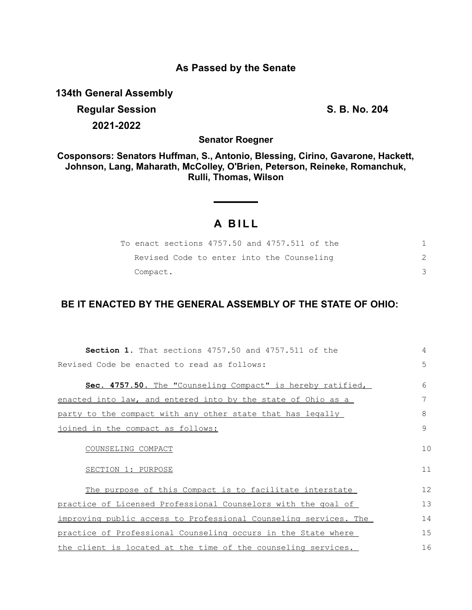## **As Passed by the Senate**

**134th General Assembly**

**Regular Session S. B. No. 204 2021-2022**

**Senator Roegner**

**Cosponsors: Senators Huffman, S., Antonio, Blessing, Cirino, Gavarone, Hackett, Johnson, Lang, Maharath, McColley, O'Brien, Peterson, Reineke, Romanchuk, Rulli, Thomas, Wilson**

# **A B I L L**

| To enact sections 4757.50 and 4757.511 of the |  |
|-----------------------------------------------|--|
| Revised Code to enter into the Counseling     |  |
| Compact.                                      |  |

## **BE IT ENACTED BY THE GENERAL ASSEMBLY OF THE STATE OF OHIO:**

| <b>Section 1.</b> That sections 4757.50 and 4757.511 of the      | 4  |
|------------------------------------------------------------------|----|
| Revised Code be enacted to read as follows:                      | 5  |
|                                                                  |    |
| Sec. 4757.50. The "Counseling Compact" is hereby ratified,       | 6  |
| enacted into law, and entered into by the state of Ohio as a     | 7  |
| party to the compact with any other state that has legally       | 8  |
| joined in the compact as follows:                                | 9  |
|                                                                  |    |
| COUNSELING COMPACT                                               | 10 |
| SECTION 1: PURPOSE                                               | 11 |
|                                                                  |    |
| The purpose of this Compact is to facilitate interstate          | 12 |
| practice of Licensed Professional Counselors with the goal of    | 13 |
| improving public access to Professional Counseling services. The | 14 |
| practice of Professional Counseling occurs in the State where    | 15 |
| the client is located at the time of the counseling services.    | 16 |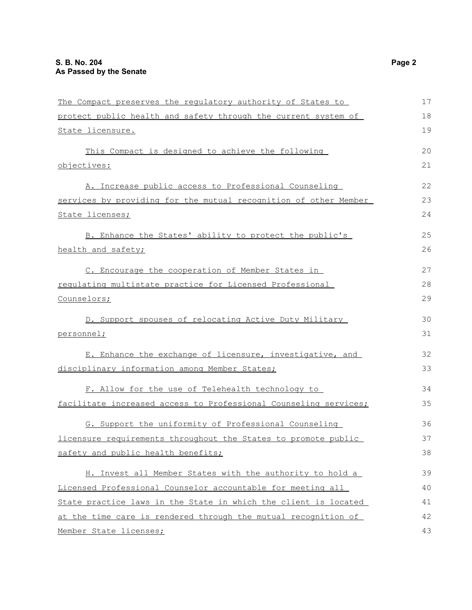| The Compact preserves the regulatory authority of States to      | 17 |
|------------------------------------------------------------------|----|
| protect public health and safety through the current system of   | 18 |
| State licensure.                                                 | 19 |
| This Compact is designed to achieve the following                | 20 |
| objectives:                                                      | 21 |
| A. Increase public access to Professional Counseling             | 22 |
| services by providing for the mutual recognition of other Member | 23 |
| State licenses;                                                  | 24 |
| B. Enhance the States' ability to protect the public's           | 25 |
| health and safety;                                               | 26 |
| C. Encourage the cooperation of Member States in                 | 27 |
| requlating multistate practice for Licensed Professional         | 28 |
| Counselors;                                                      | 29 |
| D. Support spouses of relocating Active Duty Military            | 30 |
| personnel;                                                       | 31 |
| E. Enhance the exchange of licensure, investigative, and         | 32 |
| disciplinary information among Member States;                    | 33 |
| F. Allow for the use of Telehealth technology to                 | 34 |
| facilitate increased access to Professional Counseling services; | 35 |
| G. Support the uniformity of Professional Counseling             | 36 |
| licensure requirements throughout the States to promote public   | 37 |
| safety and public health benefits;                               | 38 |
| H. Invest all Member States with the authority to hold a         | 39 |
| Licensed Professional Counselor accountable for meeting all      | 40 |
| State practice laws in the State in which the client is located  | 41 |
| at the time care is rendered through the mutual recognition of   | 42 |
| Member State licenses;                                           | 43 |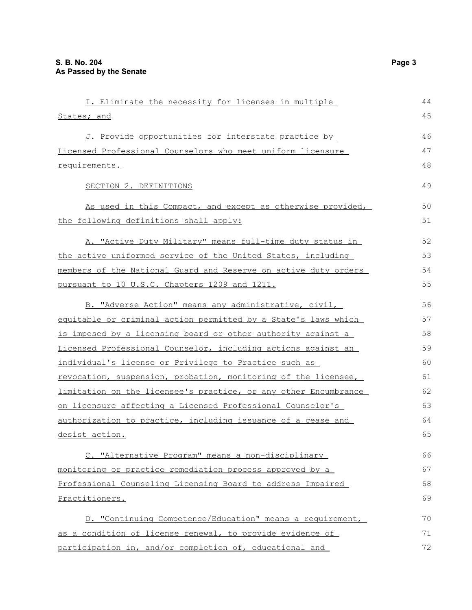| I. Eliminate the necessity for licenses in multiple             | 44 |
|-----------------------------------------------------------------|----|
| States; and                                                     | 45 |
| J. Provide opportunities for interstate practice by             | 46 |
| Licensed Professional Counselors who meet uniform licensure     | 47 |
| requirements.                                                   | 48 |
| SECTION 2. DEFINITIONS                                          | 49 |
| As used in this Compact, and except as otherwise provided,      | 50 |
| the following definitions shall apply:                          | 51 |
| A. "Active Duty Military" means full-time duty status in        | 52 |
| the active uniformed service of the United States, including    | 53 |
| members of the National Guard and Reserve on active duty orders | 54 |
| pursuant to 10 U.S.C. Chapters 1209 and 1211.                   | 55 |
| B. "Adverse Action" means any administrative, civil,            | 56 |
| equitable or criminal action permitted by a State's laws which  | 57 |
| is imposed by a licensing board or other authority against a    | 58 |
| Licensed Professional Counselor, including actions against an   | 59 |
| individual's license or Privilege to Practice such as           | 60 |
| revocation, suspension, probation, monitoring of the licensee,  | 61 |
| limitation on the licensee's practice, or any other Encumbrance | 62 |
| on licensure affecting a Licensed Professional Counselor's      | 63 |
| authorization to practice, including issuance of a cease and    | 64 |
| desist action.                                                  | 65 |
| C. "Alternative Program" means a non-disciplinary               | 66 |
| monitoring or practice remediation process approved by a        | 67 |
| Professional Counseling Licensing Board to address Impaired     | 68 |
| Practitioners.                                                  | 69 |
| D. "Continuing Competence/Education" means a requirement,       | 70 |
| as a condition of license renewal, to provide evidence of       | 71 |
| participation in, and/or completion of, educational and         | 72 |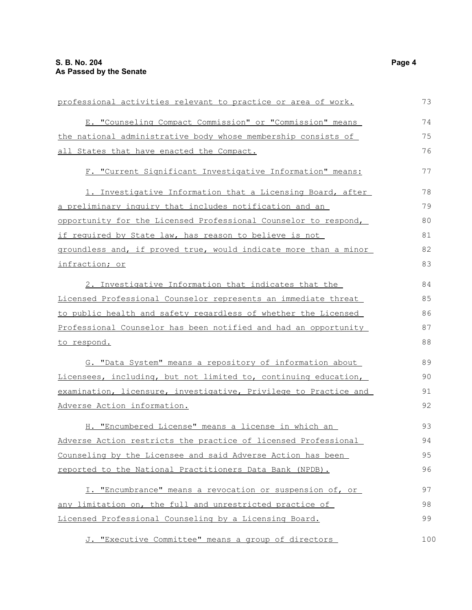| professional activities relevant to practice or area of work.    | 73  |
|------------------------------------------------------------------|-----|
| E. "Counseling Compact Commission" or "Commission" means         | 74  |
| the national administrative body whose membership consists of    | 75  |
| all States that have enacted the Compact.                        | 76  |
| F. "Current Significant Investigative Information" means:        | 77  |
| 1. Investigative Information that a Licensing Board, after       | 78  |
| a preliminary inquiry that includes notification and an          | 79  |
| opportunity for the Licensed Professional Counselor to respond,  | 80  |
| if required by State law, has reason to believe is not           | 81  |
| groundless and, if proved true, would indicate more than a minor | 82  |
| infraction; or                                                   | 83  |
| 2. Investigative Information that indicates that the             | 84  |
| Licensed Professional Counselor represents an immediate threat   | 85  |
| to public health and safety regardless of whether the Licensed   | 86  |
| Professional Counselor has been notified and had an opportunity  | 87  |
| <u>to respond.</u>                                               | 88  |
| G. "Data System" means a repository of information about         | 89  |
| Licensees, including, but not limited to, continuing education,  | 90  |
| examination, licensure, investigative, Privilege to Practice and | 91  |
| Adverse Action information.                                      | 92  |
| H. "Encumbered License" means a license in which an              | 93  |
| Adverse Action restricts the practice of licensed Professional   | 94  |
| Counseling by the Licensee and said Adverse Action has been      | 95  |
| reported to the National Practitioners Data Bank (NPDB).         | 96  |
| I. "Encumbrance" means a revocation or suspension of, or         | 97  |
| any limitation on, the full and unrestricted practice of         | 98  |
| Licensed Professional Counseling by a Licensing Board.           | 99  |
| J. "Executive Committee" means a group of directors              | 100 |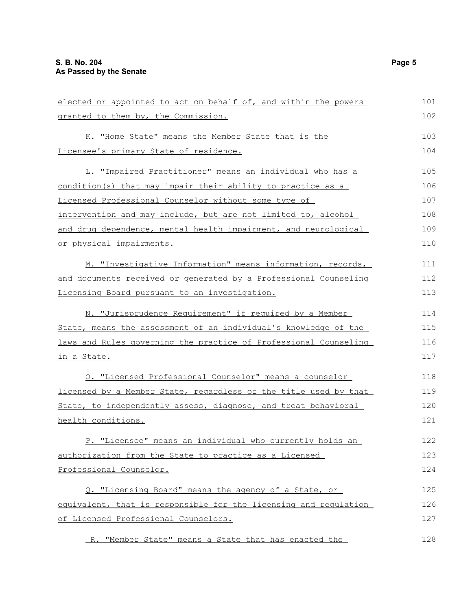elected or appointed to act on behalf of, and within the powers granted to them by, the Commission. K. "Home State" means the Member State that is the Licensee's primary State of residence. L. "Impaired Practitioner" means an individual who has a condition(s) that may impair their ability to practice as a Licensed Professional Counselor without some type of intervention and may include, but are not limited to, alcohol and drug dependence, mental health impairment, and neurological or physical impairments. M. "Investigative Information" means information, records, and documents received or generated by a Professional Counseling Licensing Board pursuant to an investigation. N. "Jurisprudence Requirement" if required by a Member State, means the assessment of an individual's knowledge of the laws and Rules governing the practice of Professional Counseling in a State. O. "Licensed Professional Counselor" means a counselor licensed by a Member State, regardless of the title used by that State, to independently assess, diagnose, and treat behavioral health conditions. P. "Licensee" means an individual who currently holds an authorization from the State to practice as a Licensed Professional Counselor. Q. "Licensing Board" means the agency of a State, or equivalent, that is responsible for the licensing and regulation of Licensed Professional Counselors. R. "Member State" means a State that has enacted the 101 102 103 104 105 106 107 108 109 110 111 112 113 114 115 116 117 118 119 120 121 122 123 124 125 126 127 128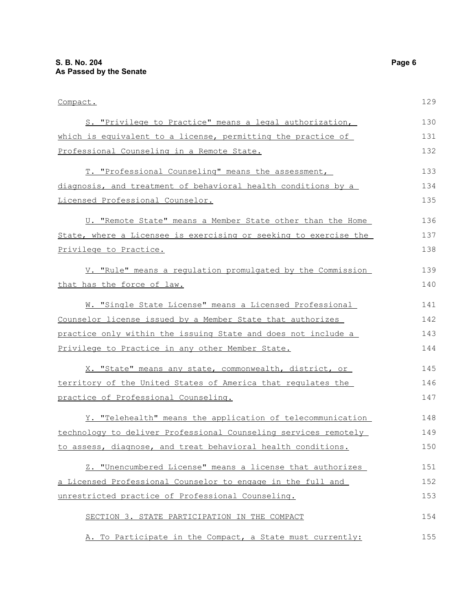| Compact.                                                         | 129 |
|------------------------------------------------------------------|-----|
| S. "Privilege to Practice" means a legal authorization,          | 130 |
| which is equivalent to a license, permitting the practice of     | 131 |
| Professional Counseling in a Remote State.                       | 132 |
| T. "Professional Counseling" means the assessment,               | 133 |
| diagnosis, and treatment of behavioral health conditions by a    | 134 |
| Licensed Professional Counselor.                                 | 135 |
| U. "Remote State" means a Member State other than the Home       | 136 |
| State, where a Licensee is exercising or seeking to exercise the | 137 |
| Privilege to Practice.                                           | 138 |
| V. "Rule" means a regulation promulgated by the Commission       | 139 |
| that has the force of law.                                       | 140 |
| W. "Single State License" means a Licensed Professional          | 141 |
| Counselor license issued by a Member State that authorizes       | 142 |
| practice only within the issuing State and does not include a    | 143 |
| Privilege to Practice in any other Member State.                 | 144 |
| X. "State" means any state, commonwealth, district, or           | 145 |
| territory of the United States of America that regulates the     | 146 |
| practice of Professional Counseling.                             | 147 |
| Y. "Telehealth" means the application of telecommunication       | 148 |
| technology to deliver Professional Counseling services remotely  | 149 |
| to assess, diagnose, and treat behavioral health conditions.     | 150 |
| Z. "Unencumbered License" means a license that authorizes        | 151 |
| a Licensed Professional Counselor to engage in the full and      | 152 |
| unrestricted practice of Professional Counseling.                | 153 |
| SECTION 3. STATE PARTICIPATION IN THE COMPACT                    | 154 |
| A. To Participate in the Compact, a State must currently:        | 155 |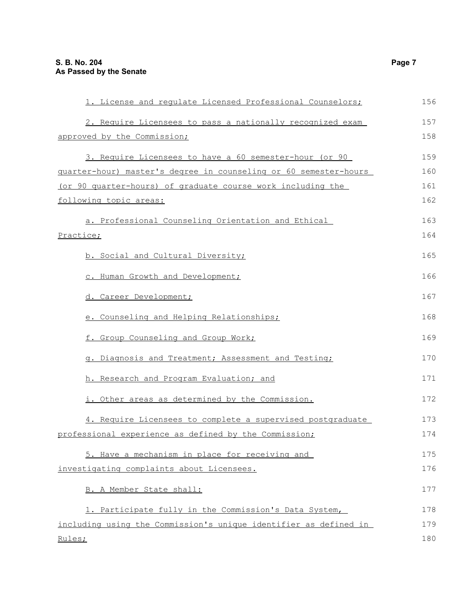| 1. License and requlate Licensed Professional Counselors;        | 156 |
|------------------------------------------------------------------|-----|
| 2. Require Licensees to pass a nationally recognized exam        | 157 |
| approved by the Commission;                                      | 158 |
| 3. Require Licensees to have a 60 semester-hour (or 90           | 159 |
| quarter-hour) master's degree in counseling or 60 semester-hours | 160 |
| (or 90 quarter-hours) of graduate course work including the      | 161 |
| following topic areas:                                           | 162 |
| a. Professional Counseling Orientation and Ethical               | 163 |
| Practice;                                                        | 164 |
| b. Social and Cultural Diversity;                                | 165 |
| c. Human Growth and Development;                                 | 166 |
| d. Career Development;                                           | 167 |
| e. Counseling and Helping Relationships;                         | 168 |
| f. Group Counseling and Group Work;                              | 169 |
| g. Diagnosis and Treatment; Assessment and Testing;              | 170 |
| h. Research and Program Evaluation; and                          | 171 |
| i. Other areas as determined by the Commission.                  | 172 |
| 4. Require Licensees to complete a supervised postgraduate       | 173 |
| professional experience as defined by the Commission;            | 174 |
| 5. Have a mechanism in place for receiving and                   | 175 |
| investigating complaints about Licensees.                        | 176 |
| B. A Member State shall:                                         | 177 |
| 1. Participate fully in the Commission's Data System,            | 178 |
| including using the Commission's unique identifier as defined in | 179 |
| Rules;                                                           | 180 |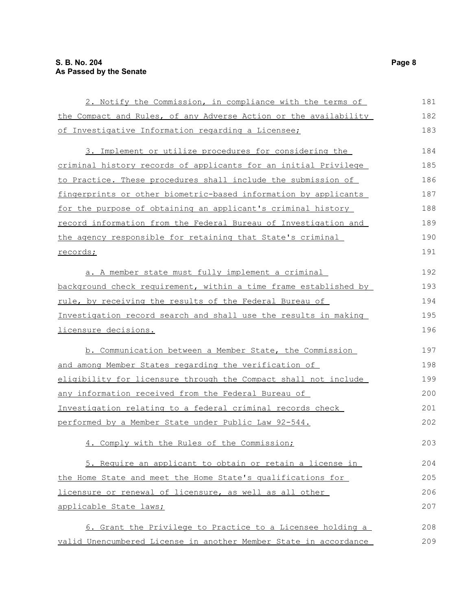| 2. Notify the Commission, in compliance with the terms of        | 181 |
|------------------------------------------------------------------|-----|
| the Compact and Rules, of any Adverse Action or the availability | 182 |
| of Investigative Information regarding a Licensee;               | 183 |
| 3. Implement or utilize procedures for considering the           | 184 |
| criminal history records of applicants for an initial Privilege  | 185 |
| to Practice. These procedures shall include the submission of    | 186 |
| fingerprints or other biometric-based information by applicants  | 187 |
| for the purpose of obtaining an applicant's criminal history     | 188 |
| record information from the Federal Bureau of Investigation and  | 189 |
| the agency responsible for retaining that State's criminal       | 190 |
| records;                                                         | 191 |
| a. A member state must fully implement a criminal                | 192 |
| background check requirement, within a time frame established by | 193 |
| rule, by receiving the results of the Federal Bureau of          | 194 |
| Investigation record search and shall use the results in making  | 195 |
| licensure decisions.                                             | 196 |
| b. Communication between a Member State, the Commission          | 197 |
| and among Member States regarding the verification of            | 198 |
| eligibility for licensure through the Compact shall not include  | 199 |
| any information received from the Federal Bureau of              | 200 |
| Investigation relating to a federal criminal records check       | 201 |
| performed by a Member State under Public Law 92-544.             | 202 |
| 4. Comply with the Rules of the Commission;                      | 203 |
| 5. Require an applicant to obtain or retain a license in         | 204 |
| the Home State and meet the Home State's qualifications for      | 205 |
| licensure or renewal of licensure, as well as all other          | 206 |
| applicable State laws;                                           | 207 |
| 6. Grant the Privilege to Practice to a Licensee holding a       | 208 |
| valid Unencumbered License in another Member State in accordance | 209 |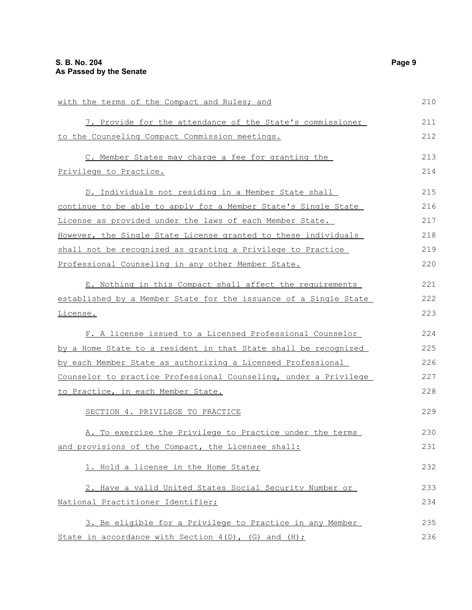| with the terms of the Compact and Rules; and                          | 210 |
|-----------------------------------------------------------------------|-----|
| 7. Provide for the attendance of the State's commissioner             | 211 |
| to the Counseling Compact Commission meetings.                        | 212 |
| C. Member States may charge a fee for granting the                    | 213 |
| Privilege to Practice.                                                | 214 |
| D. Individuals not residing in a Member State shall                   | 215 |
| continue to be able to apply for a Member State's Single State        | 216 |
| License as provided under the laws of each Member State.              | 217 |
| <u>However, the Single State License granted to these individuals</u> | 218 |
| shall not be recognized as granting a Privilege to Practice           | 219 |
| Professional Counseling in any other Member State.                    | 220 |
| E. Nothing in this Compact shall affect the requirements              | 221 |
| established by a Member State for the issuance of a Single State      | 222 |
| <u>License.</u>                                                       | 223 |
| F. A license issued to a Licensed Professional Counselor              | 224 |
| by a Home State to a resident in that State shall be recognized       | 225 |
| <u>by each Member State as authorizing a Licensed Professional</u>    | 226 |
| Counselor to practice Professional Counseling, under a Privilege      | 227 |
| to Practice, in each Member State.                                    | 228 |
| SECTION 4. PRIVILEGE TO PRACTICE                                      | 229 |
| A. To exercise the Privilege to Practice under the terms              | 230 |
| and provisions of the Compact, the Licensee shall:                    | 231 |
| 1. Hold a license in the Home State;                                  | 232 |
| 2. Have a valid United States Social Security Number or               | 233 |
| National Practitioner Identifier;                                     | 234 |
| 3. Be eligible for a Privilege to Practice in any Member              | 235 |
| State in accordance with Section 4(D), (G) and (H);                   | 236 |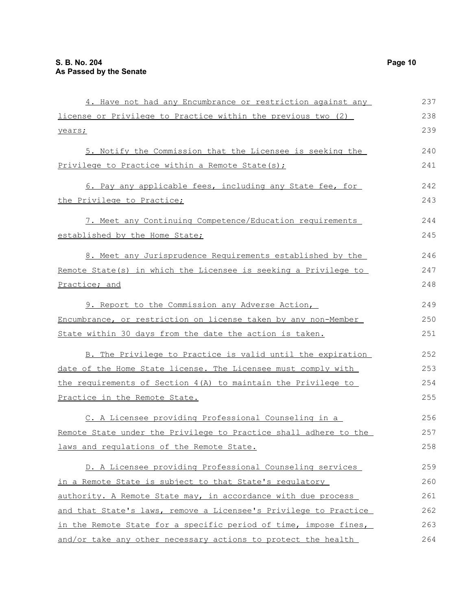| 4. Have not had any Encumbrance or restriction against any       | 237 |
|------------------------------------------------------------------|-----|
| license or Privilege to Practice within the previous two (2)     | 238 |
| years;                                                           | 239 |
| 5. Notify the Commission that the Licensee is seeking the        | 240 |
| Privilege to Practice within a Remote State(s);                  | 241 |
| 6. Pay any applicable fees, including any State fee, for         | 242 |
| the Privilege to Practice;                                       | 243 |
| 7. Meet any Continuing Competence/Education requirements         | 244 |
| established by the Home State;                                   | 245 |
| 8. Meet any Jurisprudence Requirements established by the        | 246 |
| Remote State(s) in which the Licensee is seeking a Privilege to  | 247 |
| Practice; and                                                    | 248 |
| 9. Report to the Commission any Adverse Action,                  | 249 |
| Encumbrance, or restriction on license taken by any non-Member   | 250 |
| State within 30 days from the date the action is taken.          | 251 |
| B. The Privilege to Practice is valid until the expiration       | 252 |
| date of the Home State license. The Licensee must comply with    | 253 |
| the requirements of Section 4(A) to maintain the Privilege to    | 254 |
| Practice in the Remote State.                                    | 255 |
| C. A Licensee providing Professional Counseling in a             | 256 |
| Remote State under the Privilege to Practice shall adhere to the | 257 |
| laws and regulations of the Remote State.                        | 258 |
| D. A Licensee providing Professional Counseling services         | 259 |
| in a Remote State is subject to that State's regulatory          | 260 |
| authority. A Remote State may, in accordance with due process    | 261 |
| and that State's laws, remove a Licensee's Privilege to Practice | 262 |
| in the Remote State for a specific period of time, impose fines, | 263 |
| and/or take any other necessary actions to protect the health    | 264 |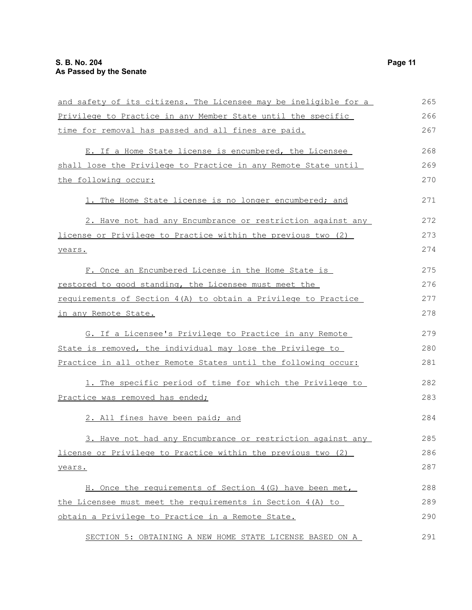| and safety of its citizens. The Licensee may be ineligible for a | 265 |
|------------------------------------------------------------------|-----|
| Privilege to Practice in any Member State until the specific     | 266 |
| time for removal has passed and all fines are paid.              | 267 |
| E. If a Home State license is encumbered, the Licensee           | 268 |
| shall lose the Privilege to Practice in any Remote State until   | 269 |
| the following occur:                                             | 270 |
| 1. The Home State license is no longer encumbered; and           | 271 |
| 2. Have not had any Encumbrance or restriction against any       | 272 |
| license or Privilege to Practice within the previous two (2)     | 273 |
| years.                                                           | 274 |
| F. Once an Encumbered License in the Home State is               | 275 |
| restored to good standing, the Licensee must meet the            | 276 |
| requirements of Section 4(A) to obtain a Privilege to Practice   | 277 |
| in any Remote State.                                             | 278 |
| G. If a Licensee's Privilege to Practice in any Remote           | 279 |
| State is removed, the individual may lose the Privilege to       | 280 |
| Practice in all other Remote States until the following occur:   | 281 |
| 1. The specific period of time for which the Privilege to        | 282 |
| Practice was removed has ended;                                  | 283 |
| 2. All fines have been paid; and                                 | 284 |
| 3. Have not had any Encumbrance or restriction against any       | 285 |
| license or Privilege to Practice within the previous two (2)     | 286 |
| years.                                                           | 287 |
| H. Once the requirements of Section 4(G) have been met,          | 288 |
| the Licensee must meet the requirements in Section 4(A) to       | 289 |
| obtain a Privilege to Practice in a Remote State.                | 290 |
| SECTION 5: OBTAINING A NEW HOME STATE LICENSE BASED ON A         | 291 |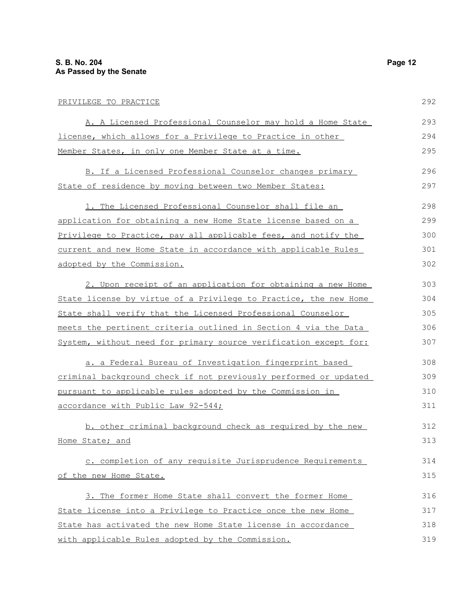| PRIVILEGE TO PRACTICE                                            | 292 |
|------------------------------------------------------------------|-----|
| A. A Licensed Professional Counselor may hold a Home State       | 293 |
| license, which allows for a Privilege to Practice in other       | 294 |
| Member States, in only one Member State at a time.               | 295 |
| B. If a Licensed Professional Counselor changes primary          | 296 |
| State of residence by moving between two Member States:          | 297 |
| 1. The Licensed Professional Counselor shall file an             | 298 |
| application for obtaining a new Home State license based on a    | 299 |
| Privilege to Practice, pay all applicable fees, and notify the   | 300 |
| current and new Home State in accordance with applicable Rules   | 301 |
| adopted by the Commission.                                       | 302 |
| 2. Upon receipt of an application for obtaining a new Home       | 303 |
| State license by virtue of a Privilege to Practice, the new Home | 304 |
| State shall verify that the Licensed Professional Counselor      | 305 |
| meets the pertinent criteria outlined in Section 4 via the Data  | 306 |
| System, without need for primary source verification except for: | 307 |
| a, a Federal Bureau of Investigation fingerprint based           | 308 |

a. a Federal Bureau of Investigation fingerprint based criminal background check if not previously performed or updated pursuant to applicable rules adopted by the Commission in accordance with Public Law 92-544; 308 309 310 311

b. other criminal background check as required by the new Home State; and 312 313

c. completion of any requisite Jurisprudence Requirements of the new Home State. 314 315

3. The former Home State shall convert the former Home State license into a Privilege to Practice once the new Home State has activated the new Home State license in accordance with applicable Rules adopted by the Commission. 316 317 318 319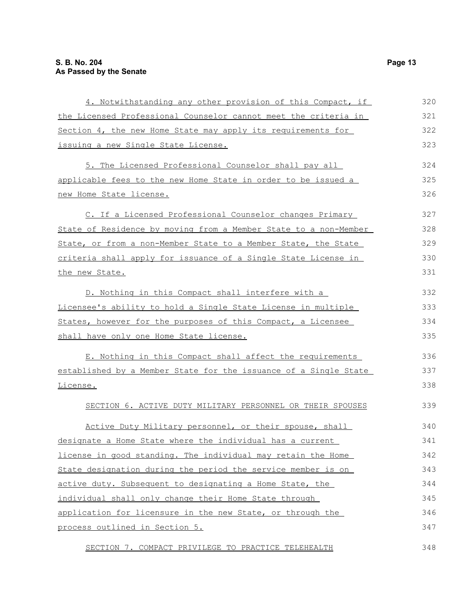| 4. Notwithstanding any other provision of this Compact, if       | 320 |
|------------------------------------------------------------------|-----|
| the Licensed Professional Counselor cannot meet the criteria in  | 321 |
| Section 4, the new Home State may apply its requirements for     | 322 |
| issuing a new Single State License.                              | 323 |
| 5. The Licensed Professional Counselor shall pay all             | 324 |
| applicable fees to the new Home State in order to be issued a    | 325 |
| new Home State license.                                          | 326 |
| C. If a Licensed Professional Counselor changes Primary          | 327 |
| State of Residence by moving from a Member State to a non-Member | 328 |
| State, or from a non-Member State to a Member State, the State   | 329 |
| criteria shall apply for issuance of a Single State License in   | 330 |
| the new State.                                                   | 331 |
| D. Nothing in this Compact shall interfere with a                | 332 |
| Licensee's ability to hold a Single State License in multiple    | 333 |
| States, however for the purposes of this Compact, a Licensee     | 334 |
| shall have only one Home State license.                          | 335 |
| E. Nothing in this Compact shall affect the requirements         | 336 |
| established by a Member State for the issuance of a Single State | 337 |
| License.                                                         | 338 |
| SECTION 6. ACTIVE DUTY MILITARY PERSONNEL OR THEIR SPOUSES       | 339 |
| Active Duty Military personnel, or their spouse, shall           | 340 |
| designate a Home State where the individual has a current        | 341 |
| license in good standing. The individual may retain the Home     | 342 |
| State designation during the period the service member is on     | 343 |
| active duty. Subsequent to designating a Home State, the         | 344 |
| individual shall only change their Home State through            | 345 |
| application for licensure in the new State, or through the       | 346 |
| process outlined in Section 5.                                   | 347 |
| SECTION 7. COMPACT PRIVILEGE TO PRACTICE TELEHEALTH              | 348 |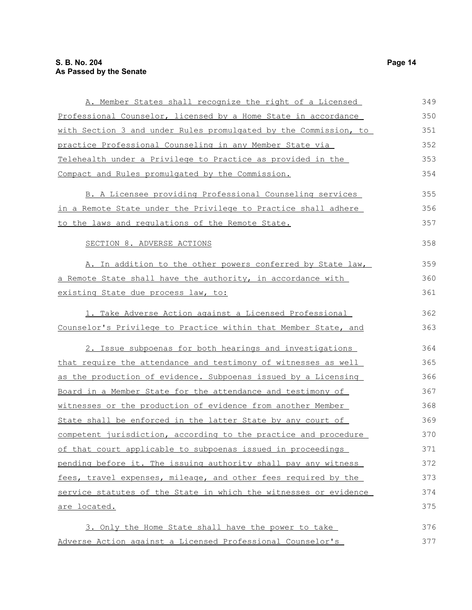### **S. B. No. 204 Page 14 As Passed by the Senate**

| A. Member States shall recognize the right of a Licensed               | 349 |
|------------------------------------------------------------------------|-----|
| Professional Counselor, licensed by a Home State in accordance         | 350 |
| with Section 3 and under Rules promulgated by the Commission, to       | 351 |
| practice Professional Counseling in any Member State via               | 352 |
| Telehealth under a Privilege to Practice as provided in the            | 353 |
| Compact and Rules promulgated by the Commission.                       | 354 |
| B. A Licensee providing Professional Counseling services               | 355 |
| <u>in a Remote State under the Privilege to Practice shall adhere </u> | 356 |
| to the laws and regulations of the Remote State.                       | 357 |
| SECTION 8. ADVERSE ACTIONS                                             | 358 |
| A. In addition to the other powers conferred by State law,             | 359 |
| a Remote State shall have the authority, in accordance with            | 360 |
| existing State due process law, to:                                    | 361 |
| 1. Take Adverse Action against a Licensed Professional                 | 362 |
| Counselor's Privilege to Practice within that Member State, and        | 363 |
| 2. Issue subpoenas for both hearings and investigations                | 364 |
| that require the attendance and testimony of witnesses as well         | 365 |
| as the production of evidence. Subpoenas issued by a Licensing         | 366 |
| Board in a Member State for the attendance and testimony of            | 367 |
| witnesses or the production of evidence from another Member            | 368 |
| State shall be enforced in the latter State by any court of            | 369 |
| competent jurisdiction, according to the practice and procedure        | 370 |
| of that court applicable to subpoenas issued in proceedings            | 371 |
| pending before it. The issuing authority shall pay any witness         | 372 |
| fees, travel expenses, mileage, and other fees required by the         | 373 |
| service statutes of the State in which the witnesses or evidence       | 374 |
| <u>are located.</u>                                                    | 375 |
| 3. Only the Home State shall have the power to take                    | 376 |
| Adverse Action against a Licensed Professional Counselor's             | 377 |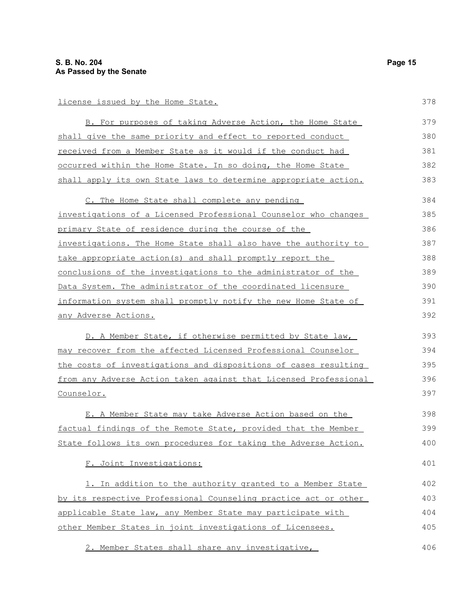#### license issued by the Home State.

| B. For purposes of taking Adverse Action, the Home State                | 379 |
|-------------------------------------------------------------------------|-----|
| shall give the same priority and effect to reported conduct             | 380 |
| <u>received from a Member State as it would if the conduct had</u>      | 381 |
| occurred within the Home State. In so doing, the Home State             | 382 |
| shall apply its own State laws to determine appropriate action.         | 383 |
| C. The Home State shall complete any pending                            | 384 |
| investigations of a Licensed Professional Counselor who changes         | 385 |
| primary State of residence during the course of the                     | 386 |
| investigations. The Home State shall also have the authority to         | 387 |
| take appropriate action(s) and shall promptly report the                | 388 |
| conclusions of the investigations to the administrator of the           | 389 |
| Data System. The administrator of the coordinated licensure             | 390 |
| information system shall promptly notify the new Home State of          | 391 |
| <u>any Adverse Actions.</u>                                             | 392 |
| D. A Member State, if otherwise permitted by State law,                 | 393 |
| may recover from the affected Licensed Professional Counselor           | 394 |
| the costs of investigations and dispositions of cases resulting         | 395 |
| from any Adverse Action taken against that Licensed Professional        | 396 |
| Counselor.                                                              | 397 |
| E. A Member State may take Adverse Action based on the                  | 398 |
| factual findings of the Remote State, provided that the Member          | 399 |
| State follows its own procedures for taking the Adverse Action.         | 400 |
| F. Joint Investigations:                                                | 401 |
| 1. In addition to the authority granted to a Member State               | 402 |
| <u>by its respective Professional Counseling practice act or other </u> | 403 |
| applicable State law, any Member State may participate with             | 404 |

2. Member States shall share any investigative,

other Member States in joint investigations of Licensees.

378

405

406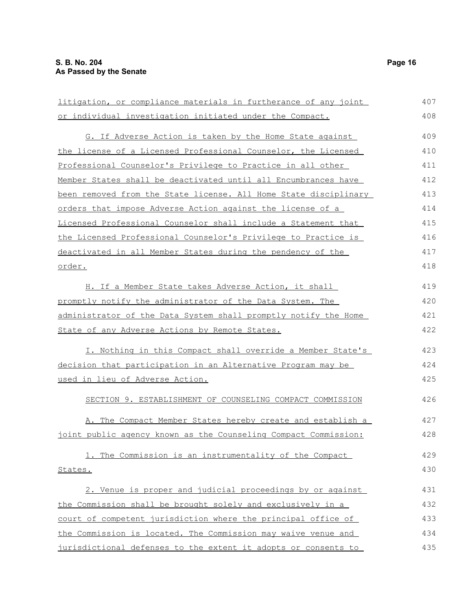| litigation, or compliance materials in furtherance of any joint  | 407 |
|------------------------------------------------------------------|-----|
| or individual investigation initiated under the Compact.         | 408 |
| G. If Adverse Action is taken by the Home State against          | 409 |
| the license of a Licensed Professional Counselor, the Licensed   | 410 |
| Professional Counselor's Privilege to Practice in all other      | 411 |
| Member States shall be deactivated until all Encumbrances have   | 412 |
| been removed from the State license. All Home State disciplinary | 413 |
| orders that impose Adverse Action against the license of a       | 414 |
| Licensed Professional Counselor shall include a Statement that   | 415 |
| the Licensed Professional Counselor's Privilege to Practice is   | 416 |
| deactivated in all Member States during the pendency of the      | 417 |
| <u>order.</u>                                                    | 418 |
| H. If a Member State takes Adverse Action, it shall              | 419 |
| promptly notify the administrator of the Data System. The        | 420 |
| administrator of the Data System shall promptly notify the Home  | 421 |
| State of any Adverse Actions by Remote States.                   | 422 |
| I. Nothing in this Compact shall override a Member State's       | 423 |
| decision that participation in an Alternative Program may be     | 424 |
| used in lieu of Adverse Action.                                  | 425 |
| SECTION 9. ESTABLISHMENT OF COUNSELING COMPACT COMMISSION        | 426 |
| A. The Compact Member States hereby create and establish a       | 427 |
| joint public agency known as the Counseling Compact Commission:  | 428 |
| 1. The Commission is an instrumentality of the Compact           | 429 |
| States.                                                          | 430 |
| 2. Venue is proper and judicial proceedings by or against        | 431 |
| the Commission shall be brought solely and exclusively in a      | 432 |
| court of competent jurisdiction where the principal office of    | 433 |
| the Commission is located. The Commission may waive venue and    | 434 |
| jurisdictional defenses to the extent it adopts or consents to   | 435 |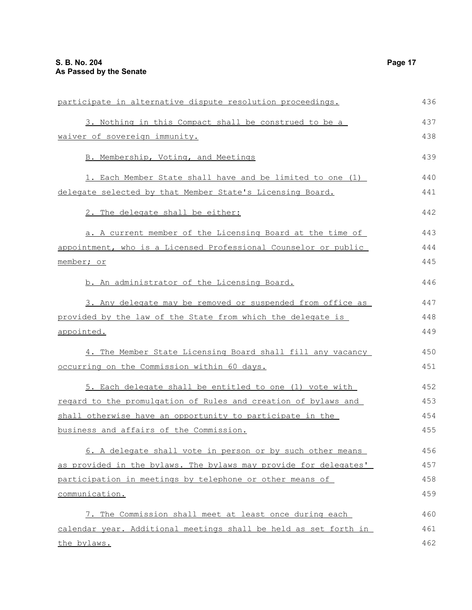| participate in alternative dispute resolution proceedings.       | 436 |
|------------------------------------------------------------------|-----|
| 3. Nothing in this Compact shall be construed to be a            | 437 |
| waiver of sovereign immunity.                                    | 438 |
| B. Membership, Voting, and Meetings                              | 439 |
| 1. Each Member State shall have and be limited to one (1)        | 440 |
| delegate selected by that Member State's Licensing Board.        | 441 |
| 2. The delegate shall be either:                                 | 442 |
| a. A current member of the Licensing Board at the time of        | 443 |
| appointment, who is a Licensed Professional Counselor or public  | 444 |
| member; or                                                       | 445 |
| b. An administrator of the Licensing Board.                      | 446 |
| 3. Any delegate may be removed or suspended from office as       | 447 |
| provided by the law of the State from which the delegate is      | 448 |
| appointed.                                                       | 449 |
| 4. The Member State Licensing Board shall fill any vacancy       | 450 |
| occurring on the Commission within 60 days.                      | 451 |
| 5. Each delegate shall be entitled to one (1) vote with          | 452 |
| regard to the promulgation of Rules and creation of bylaws and   | 453 |
| shall otherwise have an opportunity to participate in the        | 454 |
| business and affairs of the Commission.                          | 455 |
| 6. A delegate shall vote in person or by such other means        | 456 |
| as provided in the bylaws. The bylaws may provide for delegates' | 457 |
| participation in meetings by telephone or other means of         | 458 |
| communication.                                                   | 459 |
| 7. The Commission shall meet at least once during each           | 460 |
| calendar year. Additional meetings shall be held as set forth in | 461 |
| the bylaws.                                                      | 462 |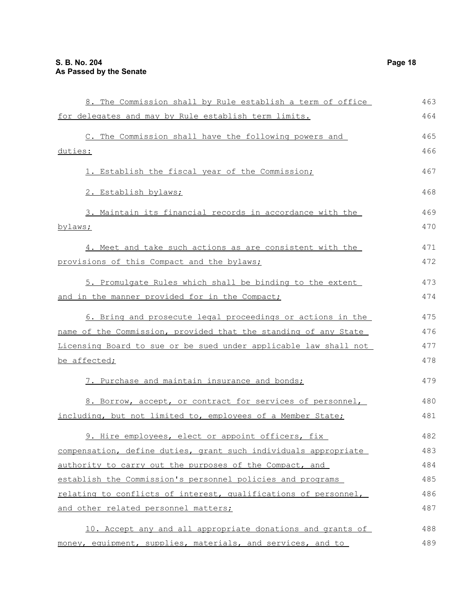| 8. The Commission shall by Rule establish a term of office       | 463 |
|------------------------------------------------------------------|-----|
| for delegates and may by Rule establish term limits.             | 464 |
| C. The Commission shall have the following powers and            | 465 |
| duties:                                                          | 466 |
| 1. Establish the fiscal year of the Commission;                  | 467 |
| 2. Establish bylaws;                                             | 468 |
| 3. Maintain its financial records in accordance with the         | 469 |
| bylaws;                                                          | 470 |
| 4. Meet and take such actions as are consistent with the         | 471 |
| provisions of this Compact and the bylaws;                       | 472 |
| 5. Promulgate Rules which shall be binding to the extent         | 473 |
| and in the manner provided for in the Compact;                   | 474 |
| 6. Bring and prosecute legal proceedings or actions in the       | 475 |
| name of the Commission, provided that the standing of any State  | 476 |
| Licensing Board to sue or be sued under applicable law shall not | 477 |
| be affected;                                                     | 478 |
| 7. Purchase and maintain insurance and bonds;                    | 479 |
| 8. Borrow, accept, or contract for services of personnel,        | 480 |
| including, but not limited to, employees of a Member State;      | 481 |
| 9. Hire employees, elect or appoint officers, fix                | 482 |
| compensation, define duties, grant such individuals appropriate  | 483 |
| authority to carry out the purposes of the Compact, and          | 484 |
| establish the Commission's personnel policies and programs       | 485 |
| relating to conflicts of interest, qualifications of personnel,  | 486 |
| and other related personnel matters;                             | 487 |
| 10. Accept any and all appropriate donations and grants of       | 488 |
| money, equipment, supplies, materials, and services, and to      | 489 |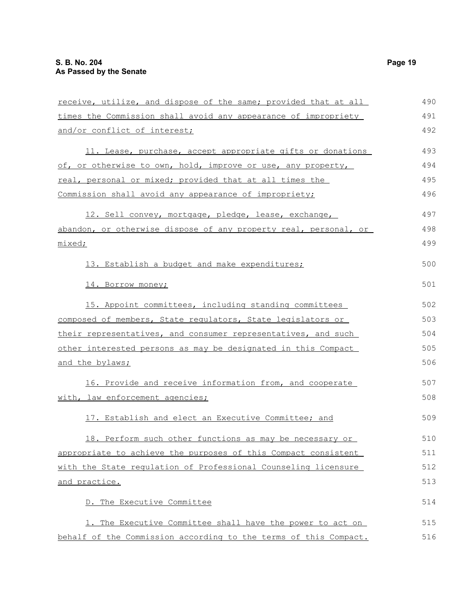| receive, utilize, and dispose of the same; provided that at all  | 490 |
|------------------------------------------------------------------|-----|
| times the Commission shall avoid any appearance of impropriety   | 491 |
| and/or conflict of interest;                                     | 492 |
| 11. Lease, purchase, accept appropriate gifts or donations       | 493 |
| of, or otherwise to own, hold, improve or use, any property,     | 494 |
| real, personal or mixed; provided that at all times the          | 495 |
| Commission shall avoid any appearance of impropriety;            | 496 |
| 12. Sell convey, mortgage, pledge, lease, exchange,              | 497 |
| abandon, or otherwise dispose of any property real, personal, or | 498 |
| mixed;                                                           | 499 |
| 13. Establish a budget and make expenditures;                    | 500 |
| 14. Borrow money;                                                | 501 |
| 15. Appoint committees, including standing committees            | 502 |
| composed of members, State requlators, State legislators or      | 503 |
| their representatives, and consumer representatives, and such    | 504 |
| other interested persons as may be designated in this Compact    | 505 |
| and the bylaws;                                                  | 506 |
| 16. Provide and receive information from, and cooperate          | 507 |
| with, law enforcement agencies;                                  | 508 |
| 17. Establish and elect an Executive Committee; and              | 509 |
| 18. Perform such other functions as may be necessary or          | 510 |
| appropriate to achieve the purposes of this Compact consistent   | 511 |
| with the State regulation of Professional Counseling licensure   | 512 |
| <u>and practice.</u>                                             | 513 |
| D. The Executive Committee                                       | 514 |
| 1. The Executive Committee shall have the power to act on        | 515 |
| behalf of the Commission according to the terms of this Compact. | 516 |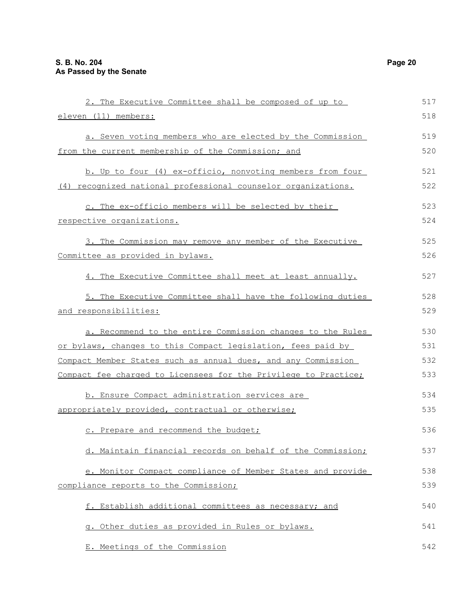| 2. The Executive Committee shall be composed of up to                | 517 |
|----------------------------------------------------------------------|-----|
| eleven (11) members:                                                 | 518 |
| a. Seven voting members who are elected by the Commission            | 519 |
| from the current membership of the Commission; and                   | 520 |
| b. Up to four (4) ex-officio, nonvoting members from four            | 521 |
| (4) recognized national professional counselor organizations.        | 522 |
| c. The ex-officio members will be selected by their                  | 523 |
| <u>respective organizations.</u>                                     | 524 |
| 3. The Commission may remove any member of the Executive             | 525 |
| Committee as provided in bylaws.                                     | 526 |
| 4. The Executive Committee shall meet at least annually.             | 527 |
| 5. The Executive Committee shall have the following duties           | 528 |
| <u>and responsibilities:</u>                                         | 529 |
| a. Recommend to the entire Commission changes to the Rules           | 530 |
| <u>or bylaws, changes to this Compact legislation, fees paid by </u> | 531 |
| Compact Member States such as annual dues, and any Commission        | 532 |
| Compact fee charged to Licensees for the Privilege to Practice;      | 533 |
| b. Ensure Compact administration services are                        | 534 |
| appropriately provided, contractual or otherwise;                    | 535 |
| c. Prepare and recommend the budget;                                 | 536 |
| d. Maintain financial records on behalf of the Commission;           | 537 |
| e. Monitor Compact compliance of Member States and provide           | 538 |
| compliance reports to the Commission;                                | 539 |
| f. Establish additional committees as necessary; and                 | 540 |
| g. Other duties as provided in Rules or bylaws.                      | 541 |
| E. Meetings of the Commission                                        | 542 |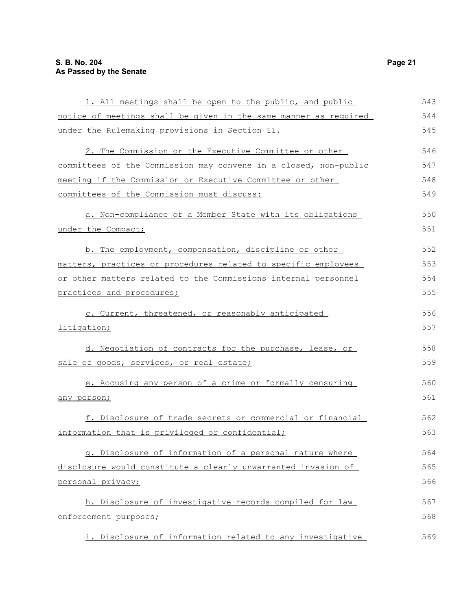| 1. All meetings shall be open to the public, and public          | 543 |
|------------------------------------------------------------------|-----|
| notice of meetings shall be given in the same manner as required | 544 |
| under the Rulemaking provisions in Section 11.                   | 545 |
| 2. The Commission or the Executive Committee or other            | 546 |
| committees of the Commission may convene in a closed, non-public | 547 |
| meeting if the Commission or Executive Committee or other        | 548 |
| committees of the Commission must discuss:                       | 549 |
| a. Non-compliance of a Member State with its obligations         | 550 |
| under the Compact;                                               | 551 |
| b. The employment, compensation, discipline or other             | 552 |
| matters, practices or procedures related to specific employees   | 553 |
| or other matters related to the Commissions internal personnel   | 554 |
| practices and procedures;                                        | 555 |
| c. Current, threatened, or reasonably anticipated                | 556 |
| litigation;                                                      | 557 |
| d. Negotiation of contracts for the purchase, lease, or          | 558 |
| sale of goods, services, or real estate;                         | 559 |
| e. Accusing any person of a crime or formally censuring          | 560 |
| any person;                                                      | 561 |
| f. Disclosure of trade secrets or commercial or financial        | 562 |
| information that is privileged or confidential;                  | 563 |
| g. Disclosure of information of a personal nature where          | 564 |
| disclosure would constitute a clearly unwarranted invasion of    | 565 |
| personal privacy;                                                | 566 |
| h. Disclosure of investigative records compiled for law          | 567 |
| enforcement purposes;                                            | 568 |
| i. Disclosure of information related to any investigative        | 569 |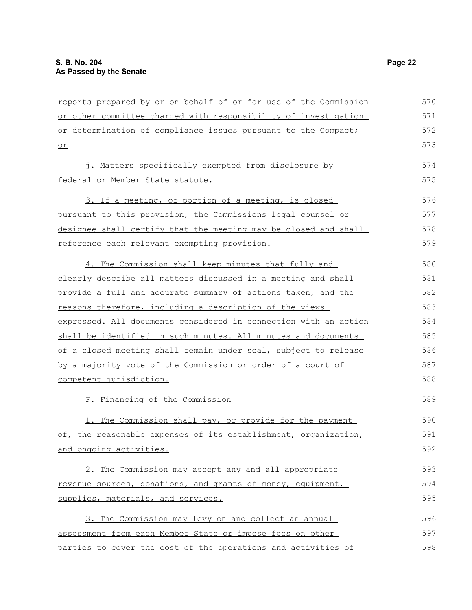| reports prepared by or on behalf of or for use of the Commission | 570 |
|------------------------------------------------------------------|-----|
| or other committee charged with responsibility of investigation  | 571 |
| or determination of compliance issues pursuant to the Compact;   | 572 |
| $or$                                                             | 573 |
| j. Matters specifically exempted from disclosure by              | 574 |
| federal or Member State statute.                                 | 575 |
| 3. If a meeting, or portion of a meeting, is closed              | 576 |
| pursuant to this provision, the Commissions legal counsel or     | 577 |
| designee shall certify that the meeting may be closed and shall  | 578 |
| reference each relevant exempting provision.                     | 579 |
| 4. The Commission shall keep minutes that fully and              | 580 |
| clearly describe all matters discussed in a meeting and shall    | 581 |
| provide a full and accurate summary of actions taken, and the    | 582 |
| reasons therefore, including a description of the views          | 583 |
| expressed. All documents considered in connection with an action | 584 |
| shall be identified in such minutes. All minutes and documents   | 585 |
| of a closed meeting shall remain under seal, subject to release  | 586 |
| by a majority vote of the Commission or order of a court of      | 587 |
| competent jurisdiction.                                          | 588 |
| F. Financing of the Commission                                   | 589 |
| 1. The Commission shall pay, or provide for the payment          | 590 |
| of, the reasonable expenses of its establishment, organization,  | 591 |
| and ongoing activities.                                          | 592 |
| 2. The Commission may accept any and all appropriate             | 593 |
| revenue sources, donations, and grants of money, equipment,      | 594 |
| supplies, materials, and services.                               | 595 |
| 3. The Commission may levy on and collect an annual              | 596 |
| assessment from each Member State or impose fees on other        | 597 |
| parties to cover the cost of the operations and activities of    | 598 |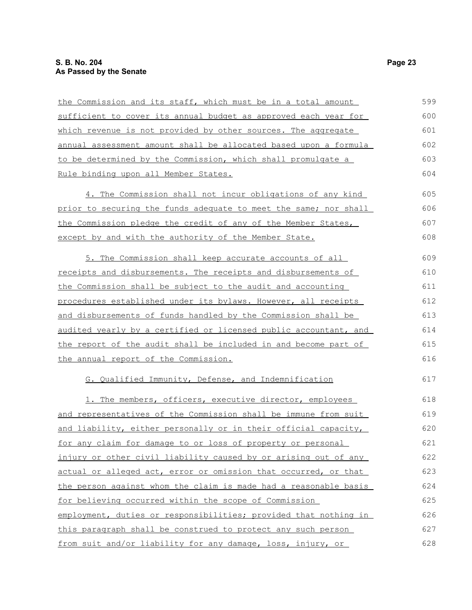| the Commission and its staff, which must be in a total amount    | 599 |
|------------------------------------------------------------------|-----|
| sufficient to cover its annual budget as approved each year for  | 600 |
| which revenue is not provided by other sources. The aggregate    | 601 |
| annual assessment amount shall be allocated based upon a formula | 602 |
| to be determined by the Commission, which shall promulgate a     | 603 |
| Rule binding upon all Member States.                             | 604 |
| 4. The Commission shall not incur obligations of any kind        | 605 |
| prior to securing the funds adequate to meet the same; nor shall | 606 |
| the Commission pledge the credit of any of the Member States,    | 607 |
| except by and with the authority of the Member State.            | 608 |
| 5. The Commission shall keep accurate accounts of all            | 609 |
| receipts and disbursements. The receipts and disbursements of    | 610 |
| the Commission shall be subject to the audit and accounting      | 611 |
| procedures established under its bylaws. However, all receipts   | 612 |
| and disbursements of funds handled by the Commission shall be    | 613 |
| audited yearly by a certified or licensed public accountant, and | 614 |
| the report of the audit shall be included in and become part of  | 615 |
| the annual report of the Commission.                             | 616 |
| G. Qualified Immunity, Defense, and Indemnification              | 617 |
| 1. The members, officers, executive director, employees          | 618 |
| and representatives of the Commission shall be immune from suit  | 619 |
| and liability, either personally or in their official capacity,  | 620 |
| for any claim for damage to or loss of property or personal      | 621 |
| injury or other civil liability caused by or arising out of any  | 622 |
| actual or alleged act, error or omission that occurred, or that  | 623 |
| the person against whom the claim is made had a reasonable basis | 624 |
| for believing occurred within the scope of Commission            | 625 |
| employment, duties or responsibilities; provided that nothing in | 626 |
| this paragraph shall be construed to protect any such person     | 627 |
| from suit and/or liability for any damage, loss, injury, or      | 628 |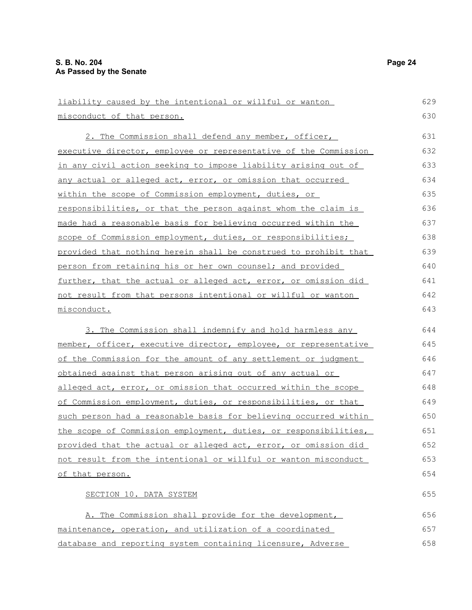| liability caused by the intentional or willful or wanton               | 629 |
|------------------------------------------------------------------------|-----|
| misconduct of that person.                                             | 630 |
| 2. The Commission shall defend any member, officer,                    | 631 |
| executive director, employee or representative of the Commission       | 632 |
| <u>in any civil action seeking to impose liability arising out of</u>  | 633 |
| any actual or alleged act, error, or omission that occurred            | 634 |
| within the scope of Commission employment, duties, or                  | 635 |
| responsibilities, or that the person against whom the claim is         | 636 |
| <u>made had a reasonable basis for believing occurred within the</u>   | 637 |
| scope of Commission employment, duties, or responsibilities;           | 638 |
| provided that nothing herein shall be construed to prohibit that       | 639 |
| person from retaining his or her own counsel; and provided             | 640 |
| <u>further, that the actual or alleged act, error, or omission did</u> | 641 |
| not result from that persons intentional or willful or wanton          | 642 |
| misconduct.                                                            | 643 |
| 3. The Commission shall indemnify and hold harmless any                | 644 |
| member, officer, executive director, employee, or representative       | 645 |
| of the Commission for the amount of any settlement or judgment         | 646 |
| obtained against that person arising out of any actual or              | 647 |
| alleged act, error, or omission that occurred within the scope         | 648 |
| of Commission employment, duties, or responsibilities, or that         | 649 |
| such person had a reasonable basis for believing occurred within       | 650 |
| the scope of Commission employment, duties, or responsibilities,       | 651 |
| provided that the actual or alleged act, error, or omission did        | 652 |
| not result from the intentional or willful or wanton misconduct        | 653 |
| of that person.                                                        | 654 |
| SECTION 10. DATA SYSTEM                                                | 655 |
| A. The Commission shall provide for the development,                   | 656 |
| maintenance, operation, and utilization of a coordinated               | 657 |

database and reporting system containing licensure, Adverse

658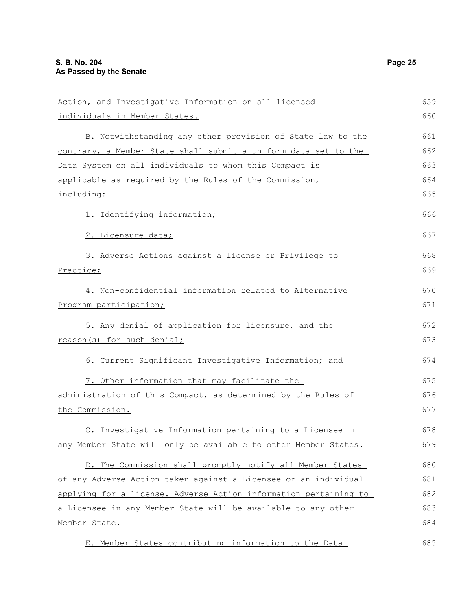| Action, and Investigative Information on all licensed            | 659 |
|------------------------------------------------------------------|-----|
| individuals in Member States.                                    | 660 |
| B. Notwithstanding any other provision of State law to the       | 661 |
| contrary, a Member State shall submit a uniform data set to the  | 662 |
| Data System on all individuals to whom this Compact is           | 663 |
| applicable as required by the Rules of the Commission,           | 664 |
| including:                                                       | 665 |
| 1. Identifying information;                                      | 666 |
| 2. Licensure data;                                               | 667 |
| 3. Adverse Actions against a license or Privilege to             | 668 |
| Practice;                                                        | 669 |
| 4. Non-confidential information related to Alternative           | 670 |
| Program participation;                                           | 671 |
| 5. Any denial of application for licensure, and the              | 672 |
| reason(s) for such denial;                                       | 673 |
| 6. Current Significant Investigative Information; and            | 674 |
| 7. Other information that may facilitate the                     | 675 |
| administration of this Compact, as determined by the Rules of    | 676 |
| the Commission.                                                  | 677 |
| C. Investigative Information pertaining to a Licensee in         | 678 |
| any Member State will only be available to other Member States.  | 679 |
| D. The Commission shall promptly notify all Member States        | 680 |
| of any Adverse Action taken against a Licensee or an individual  | 681 |
| applying for a license. Adverse Action information pertaining to | 682 |
| a Licensee in any Member State will be available to any other    | 683 |
| Member State.                                                    | 684 |
| E. Member States contributing information to the Data            | 685 |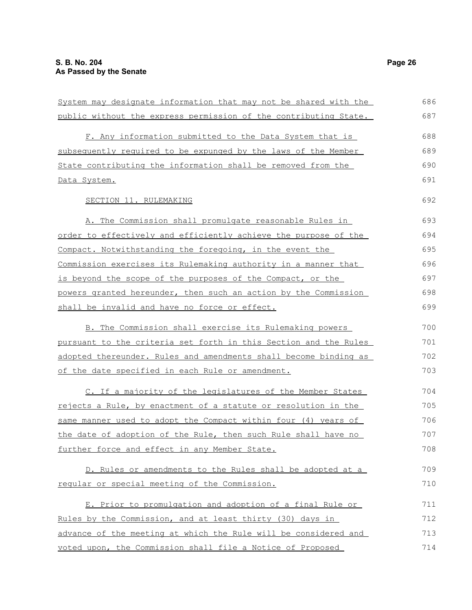| System may designate information that may not be shared with the | 686 |
|------------------------------------------------------------------|-----|
| public without the express permission of the contributing State. | 687 |
| F. Any information submitted to the Data System that is          | 688 |
| subsequently required to be expunged by the laws of the Member   | 689 |
| State contributing the information shall be removed from the     | 690 |
| Data System.                                                     | 691 |
| SECTION 11. RULEMAKING                                           | 692 |
| A. The Commission shall promulgate reasonable Rules in           | 693 |
| order to effectively and efficiently achieve the purpose of the  | 694 |
| Compact. Notwithstanding the foregoing, in the event the         | 695 |
| Commission exercises its Rulemaking authority in a manner that   | 696 |
| is beyond the scope of the purposes of the Compact, or the       | 697 |
| powers granted hereunder, then such an action by the Commission  | 698 |
| shall be invalid and have no force or effect.                    | 699 |
| B. The Commission shall exercise its Rulemaking powers           | 700 |
| pursuant to the criteria set forth in this Section and the Rules | 701 |
| adopted thereunder. Rules and amendments shall become binding as | 702 |
| of the date specified in each Rule or amendment.                 | 703 |
| C. If a majority of the legislatures of the Member States        | 704 |
| rejects a Rule, by enactment of a statute or resolution in the   | 705 |
| same manner used to adopt the Compact within four (4) years of   | 706 |
| the date of adoption of the Rule, then such Rule shall have no   | 707 |
| further force and effect in any Member State.                    | 708 |
| D. Rules or amendments to the Rules shall be adopted at a        | 709 |
| reqular or special meeting of the Commission.                    | 710 |
| E. Prior to promulgation and adoption of a final Rule or         | 711 |
| Rules by the Commission, and at least thirty (30) days in        | 712 |
| advance of the meeting at which the Rule will be considered and  | 713 |
| voted upon, the Commission shall file a Notice of Proposed       | 714 |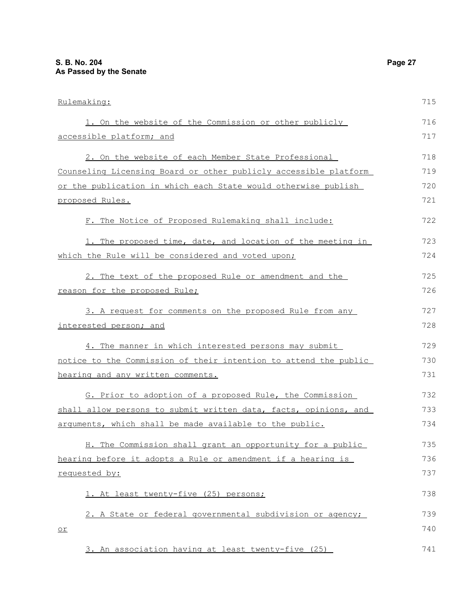| Rulemaking:                                                      | 715 |
|------------------------------------------------------------------|-----|
| 1. On the website of the Commission or other publicly            | 716 |
| accessible platform; and                                         | 717 |
| 2. On the website of each Member State Professional              | 718 |
| Counseling Licensing Board or other publicly accessible platform | 719 |
| or the publication in which each State would otherwise publish   | 720 |
| proposed Rules.                                                  | 721 |
| F. The Notice of Proposed Rulemaking shall include:              | 722 |
| 1. The proposed time, date, and location of the meeting in       | 723 |
| which the Rule will be considered and voted upon;                | 724 |
| 2. The text of the proposed Rule or amendment and the            | 725 |
| reason for the proposed Rule;                                    | 726 |
| 3. A request for comments on the proposed Rule from any          | 727 |
| interested person; and                                           | 728 |
| 4. The manner in which interested persons may submit             | 729 |
| notice to the Commission of their intention to attend the public | 730 |
| hearing and any written comments.                                | 731 |
| G. Prior to adoption of a proposed Rule, the Commission          | 732 |
| shall allow persons to submit written data, facts, opinions, and | 733 |
| arguments, which shall be made available to the public.          | 734 |
| H. The Commission shall grant an opportunity for a public        | 735 |
| hearing before it adopts a Rule or amendment if a hearing is     | 736 |
| requested by:                                                    | 737 |
| 1. At least twenty-five (25) persons;                            | 738 |
| 2. A State or federal governmental subdivision or agency;        | 739 |
| $\overline{\circ}$                                               | 740 |
| 3. An association having at least twenty-five (25)               | 741 |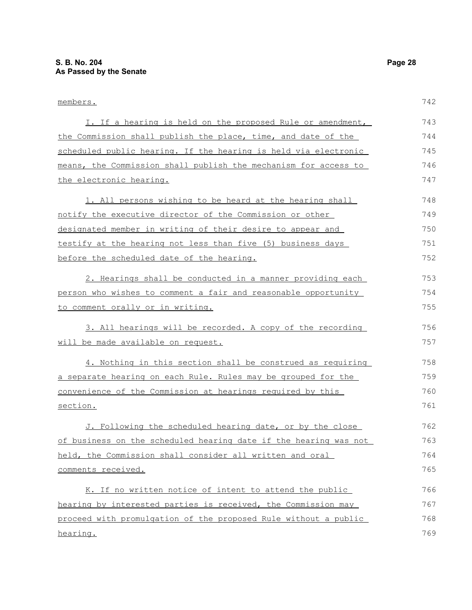| members.                                                         | 742 |
|------------------------------------------------------------------|-----|
| I. If a hearing is held on the proposed Rule or amendment,       | 743 |
| the Commission shall publish the place, time, and date of the    | 744 |
| scheduled public hearing. If the hearing is held via electronic  | 745 |
| means, the Commission shall publish the mechanism for access to  | 746 |
| the electronic hearing.                                          | 747 |
| 1. All persons wishing to be heard at the hearing shall          | 748 |
| notify the executive director of the Commission or other         | 749 |
| designated member in writing of their desire to appear and       | 750 |
| testify at the hearing not less than five (5) business days      | 751 |
| before the scheduled date of the hearing.                        | 752 |
| 2. Hearings shall be conducted in a manner providing each        | 753 |
| person who wishes to comment a fair and reasonable opportunity   | 754 |
| to comment orally or in writing.                                 | 755 |
| 3. All hearings will be recorded. A copy of the recording        | 756 |
| will be made available on request.                               | 757 |
| 4. Nothing in this section shall be construed as requiring       | 758 |
| a separate hearing on each Rule. Rules may be grouped for the    | 759 |
| convenience of the Commission at hearings required by this       | 760 |
| section.                                                         | 761 |
| J. Following the scheduled hearing date, or by the close         | 762 |
| of business on the scheduled hearing date if the hearing was not | 763 |
| held, the Commission shall consider all written and oral         | 764 |
| comments received.                                               | 765 |
| K. If no written notice of intent to attend the public           | 766 |
| hearing by interested parties is received, the Commission may    | 767 |
| proceed with promulgation of the proposed Rule without a public  | 768 |
| hearing.                                                         | 769 |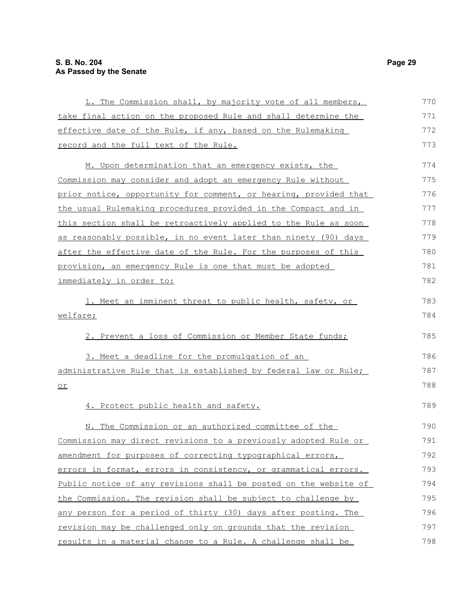| L. The Commission shall, by majority vote of all members,        | 770 |
|------------------------------------------------------------------|-----|
| take final action on the proposed Rule and shall determine the   | 771 |
| effective date of the Rule, if any, based on the Rulemaking      | 772 |
| record and the full text of the Rule.                            | 773 |
| M. Upon determination that an emergency exists, the              | 774 |
| Commission may consider and adopt an emergency Rule without      | 775 |
| prior notice, opportunity for comment, or hearing, provided that | 776 |
| the usual Rulemaking procedures provided in the Compact and in   | 777 |
| this section shall be retroactively applied to the Rule as soon  | 778 |
| as reasonably possible, in no event later than ninety (90) days  | 779 |
| after the effective date of the Rule. For the purposes of this   | 780 |
| provision, an emergency Rule is one that must be adopted         | 781 |
| <u>immediately in order to:</u>                                  | 782 |
| 1. Meet an imminent threat to public health, safety, or          | 783 |
| welfare;                                                         | 784 |
| 2. Prevent a loss of Commission or Member State funds;           | 785 |
| 3. Meet a deadline for the promulgation of an                    | 786 |
| administrative Rule that is established by federal law or Rule;  | 787 |
| $\underline{\circ r}$                                            | 788 |
| 4. Protect public health and safety.                             | 789 |
| N. The Commission or an authorized committee of the              | 790 |
| Commission may direct revisions to a previously adopted Rule or  | 791 |
| amendment for purposes of correcting typographical errors,       | 792 |
| errors in format, errors in consistency, or grammatical errors.  | 793 |
| Public notice of any revisions shall be posted on the website of | 794 |
| the Commission. The revision shall be subject to challenge by    | 795 |
| any person for a period of thirty (30) days after posting. The   | 796 |
| revision may be challenged only on grounds that the revision     | 797 |
| results in a material change to a Rule. A challenge shall be     | 798 |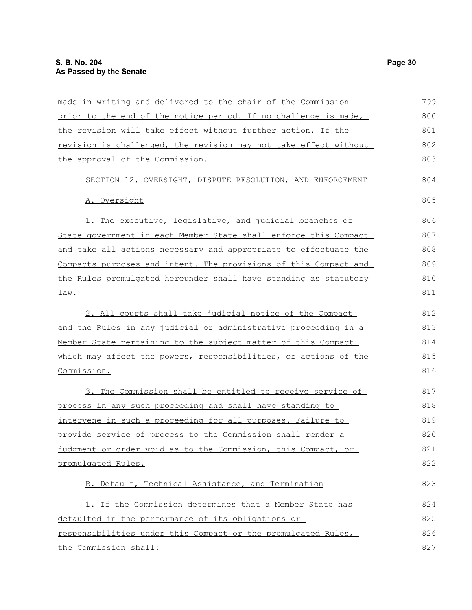| made in writing and delivered to the chair of the Commission     | 799 |
|------------------------------------------------------------------|-----|
| prior to the end of the notice period. If no challenge is made,  | 800 |
| the revision will take effect without further action. If the     | 801 |
| revision is challenged, the revision may not take effect without | 802 |
| the approval of the Commission.                                  | 803 |
| SECTION 12. OVERSIGHT, DISPUTE RESOLUTION, AND ENFORCEMENT       | 804 |
| A. Oversight                                                     | 805 |
| 1. The executive, legislative, and judicial branches of          | 806 |
| State government in each Member State shall enforce this Compact | 807 |
| and take all actions necessary and appropriate to effectuate the | 808 |
| Compacts purposes and intent. The provisions of this Compact and | 809 |
| the Rules promulgated hereunder shall have standing as statutory | 810 |
| law.                                                             | 811 |
| 2. All courts shall take judicial notice of the Compact          | 812 |
| and the Rules in any judicial or administrative proceeding in a  | 813 |
| Member State pertaining to the subject matter of this Compact    | 814 |
| which may affect the powers, responsibilities, or actions of the | 815 |
| Commission.                                                      | 816 |
| 3. The Commission shall be entitled to receive service of        | 817 |
| process in any such proceeding and shall have standing to        | 818 |
| intervene in such a proceeding for all purposes. Failure to      | 819 |
| provide service of process to the Commission shall render a      | 820 |
| judgment or order void as to the Commission, this Compact, or    | 821 |
| promulgated Rules.                                               | 822 |
| B. Default, Technical Assistance, and Termination                | 823 |
| 1. If the Commission determines that a Member State has          | 824 |
| defaulted in the performance of its obligations or               | 825 |
| responsibilities under this Compact or the promulgated Rules,    | 826 |
| the Commission shall:                                            | 827 |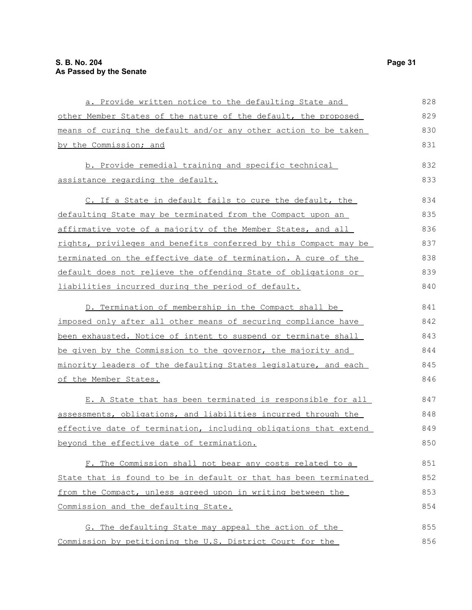| a. Provide written notice to the defaulting State and            | 828 |
|------------------------------------------------------------------|-----|
| other Member States of the nature of the default, the proposed   | 829 |
| means of curing the default and/or any other action to be taken  | 830 |
| by the Commission; and                                           | 831 |
| b. Provide remedial training and specific technical              | 832 |
| assistance regarding the default.                                | 833 |
| C. If a State in default fails to cure the default, the          | 834 |
| defaulting State may be terminated from the Compact upon an      | 835 |
| affirmative vote of a majority of the Member States, and all     | 836 |
| rights, privileges and benefits conferred by this Compact may be | 837 |
| terminated on the effective date of termination. A cure of the   | 838 |
| default does not relieve the offending State of obligations or   | 839 |
| liabilities incurred during the period of default.               | 840 |
| D. Termination of membership in the Compact shall be             | 841 |
| imposed only after all other means of securing compliance have   | 842 |
| been exhausted. Notice of intent to suspend or terminate shall   | 843 |
| be given by the Commission to the governor, the majority and     | 844 |
| minority leaders of the defaulting States legislature, and each  | 845 |
| of the Member States.                                            | 846 |
| E. A State that has been terminated is responsible for all       | 847 |
| assessments, obligations, and liabilities incurred through the   | 848 |
| effective date of termination, including obligations that extend | 849 |
| beyond the effective date of termination.                        | 850 |
| F. The Commission shall not bear any costs related to a          | 851 |
| State that is found to be in default or that has been terminated | 852 |
| from the Compact, unless agreed upon in writing between the      | 853 |
| Commission and the defaulting State.                             | 854 |
| G. The defaulting State may appeal the action of the             | 855 |
| Commission by petitioning the U.S. District Court for the        | 856 |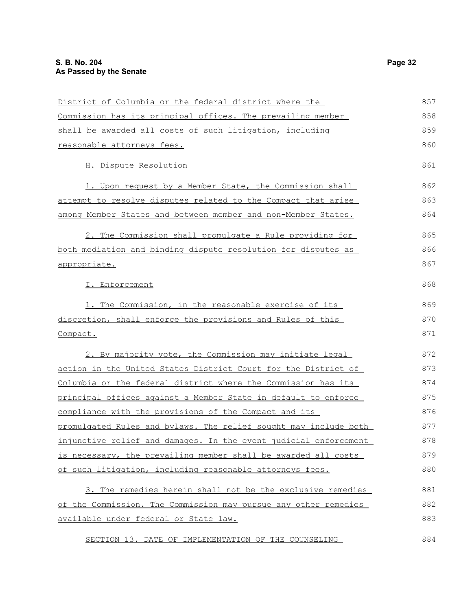| District of Columbia or the federal district where the                | 857 |
|-----------------------------------------------------------------------|-----|
| Commission has its principal offices. The prevailing member           | 858 |
| shall be awarded all costs of such litigation, including              | 859 |
| reasonable attorneys fees.                                            | 860 |
| H. Dispute Resolution                                                 | 861 |
| 1. Upon request by a Member State, the Commission shall               | 862 |
| <u>attempt to resolve disputes related to the Compact that arise</u>  | 863 |
| among Member States and between member and non-Member States.         | 864 |
| 2. The Commission shall promulgate a Rule providing for               | 865 |
| both mediation and binding dispute resolution for disputes as         | 866 |
| appropriate.                                                          | 867 |
| I. Enforcement                                                        | 868 |
| 1. The Commission, in the reasonable exercise of its                  | 869 |
| discretion, shall enforce the provisions and Rules of this            | 870 |
| Compact.                                                              | 871 |
| 2. By majority vote, the Commission may initiate legal                | 872 |
| <u>action in the United States District Court for the District of</u> | 873 |
| Columbia or the federal district where the Commission has its         | 874 |
| principal offices against a Member State in default to enforce        | 875 |
| compliance with the provisions of the Compact and its                 | 876 |
| promulgated Rules and bylaws. The relief sought may include both      | 877 |
| injunctive relief and damages. In the event judicial enforcement      | 878 |
| is necessary, the prevailing member shall be awarded all costs        | 879 |
| of such litigation, including reasonable attorneys fees.              | 880 |
| 3. The remedies herein shall not be the exclusive remedies            | 881 |
| of the Commission. The Commission may pursue any other remedies       | 882 |
| available under federal or State law.                                 | 883 |
| SECTION 13. DATE OF IMPLEMENTATION OF THE COUNSELING                  | 884 |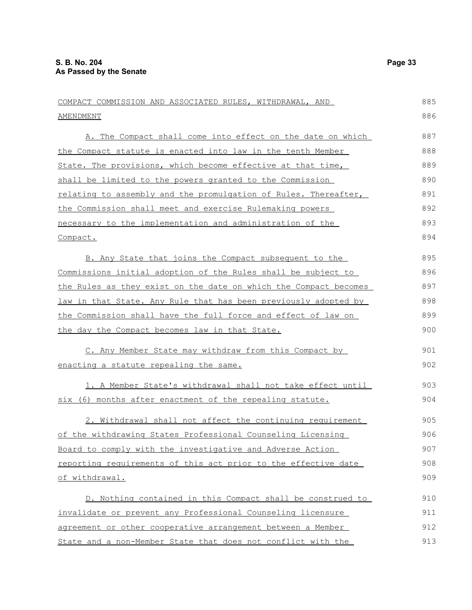| COMPACT COMMISSION AND ASSOCIATED RULES, WITHDRAWAL, AND         | 885 |
|------------------------------------------------------------------|-----|
| AMENDMENT                                                        | 886 |
| A. The Compact shall come into effect on the date on which       | 887 |
| the Compact statute is enacted into law in the tenth Member      | 888 |
| State. The provisions, which become effective at that time,      | 889 |
| shall be limited to the powers granted to the Commission         | 890 |
| relating to assembly and the promulgation of Rules. Thereafter,  | 891 |
| the Commission shall meet and exercise Rulemaking powers         | 892 |
| necessary to the implementation and administration of the        | 893 |
| Compact.                                                         | 894 |
| B. Any State that joins the Compact subsequent to the            | 895 |
| Commissions initial adoption of the Rules shall be subject to    | 896 |
| the Rules as they exist on the date on which the Compact becomes | 897 |
| law in that State. Any Rule that has been previously adopted by  | 898 |
| the Commission shall have the full force and effect of law on    | 899 |
| the day the Compact becomes law in that State.                   | 900 |
| C. Any Member State may withdraw from this Compact by            | 901 |
| enacting a statute repealing the same.                           | 902 |
| 1. A Member State's withdrawal shall not take effect until       | 903 |
| six (6) months after enactment of the repealing statute.         | 904 |
| 2. Withdrawal shall not affect the continuing requirement        | 905 |
| of the withdrawing States Professional Counseling Licensing      | 906 |
| Board to comply with the investigative and Adverse Action        | 907 |
| reporting requirements of this act prior to the effective date   | 908 |
| of withdrawal.                                                   | 909 |
| D. Nothing contained in this Compact shall be construed to       | 910 |
| invalidate or prevent any Professional Counseling licensure      | 911 |
| agreement or other cooperative arrangement between a Member      | 912 |
| State and a non-Member State that does not conflict with the     | 913 |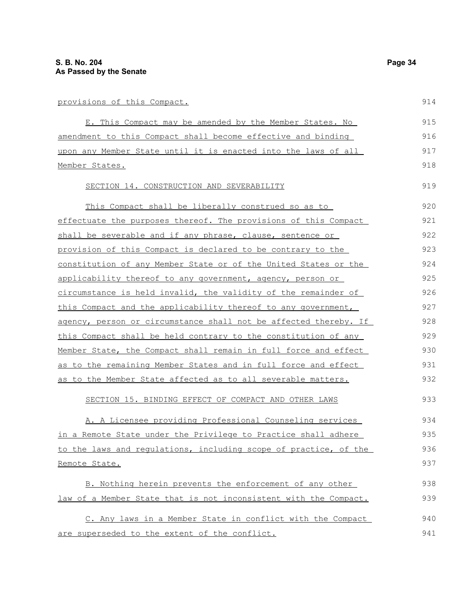| provisions of this Compact.                                            | 914 |
|------------------------------------------------------------------------|-----|
| E. This Compact may be amended by the Member States. No                | 915 |
| amendment to this Compact shall become effective and binding           | 916 |
| upon any Member State until it is enacted into the laws of all         | 917 |
| Member States.                                                         | 918 |
| SECTION 14. CONSTRUCTION AND SEVERABILITY                              | 919 |
| This Compact shall be liberally construed so as to                     | 920 |
| effectuate the purposes thereof. The provisions of this Compact        | 921 |
| shall be severable and if any phrase, clause, sentence or              | 922 |
| provision of this Compact is declared to be contrary to the            | 923 |
| <u>constitution of any Member State or of the United States or the</u> | 924 |
| applicability thereof to any government, agency, person or             | 925 |
| circumstance is held invalid, the validity of the remainder of         | 926 |
| this Compact and the applicability thereof to any government,          | 927 |
| agency, person or circumstance shall not be affected thereby. If       | 928 |
| this Compact shall be held contrary to the constitution of any         | 929 |
| Member State, the Compact shall remain in full force and effect        | 930 |
| as to the remaining Member States and in full force and effect         | 931 |
| as to the Member State affected as to all severable matters.           | 932 |

A. A Licensee providing Professional Counseling services in a Remote State under the Privilege to Practice shall adhere to the laws and regulations, including scope of practice, of the Remote State. B. Nothing herein prevents the enforcement of any other 934 935 936 937 938

SECTION 15. BINDING EFFECT OF COMPACT AND OTHER LAWS

law of a Member State that is not inconsistent with the Compact. C. Any laws in a Member State in conflict with the Compact are superseded to the extent of the conflict. 939 940 941

914

933